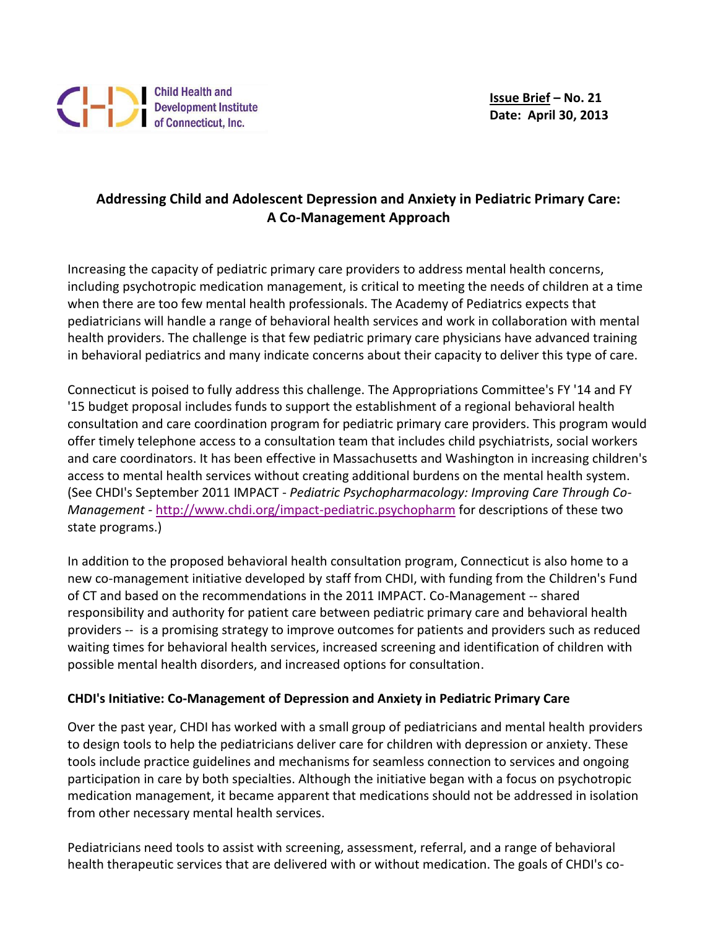# **Addressing Child and Adolescent Depression and Anxiety in Pediatric Primary Care: A Co-Management Approach**

Increasing the capacity of pediatric primary care providers to address mental health concerns, including psychotropic medication management, is critical to meeting the needs of children at a time when there are too few mental health professionals. The Academy of Pediatrics expects that pediatricians will handle a range of behavioral health services and work in collaboration with mental health providers. The challenge is that few pediatric primary care physicians have advanced training in behavioral pediatrics and many indicate concerns about their capacity to deliver this type of care.

Connecticut is poised to fully address this challenge. The Appropriations Committee's FY '14 and FY '15 budget proposal includes funds to support the establishment of a regional behavioral health consultation and care coordination program for pediatric primary care providers. This program would offer timely telephone access to a consultation team that includes child psychiatrists, social workers and care coordinators. It has been effective in Massachusetts and Washington in increasing children's access to mental health services without creating additional burdens on the mental health system. (See CHDI's September 2011 IMPACT - *Pediatric Psychopharmacology: Improving Care Through Co-Management -* [http://www.chdi.org/impact-pediatric.psychopharm](http://r20.rs6.net/tn.jsp?e=00153vEk6MKvUuBMl5m5QSyOfYK7gnyW7mCbvrh9f2s1CQceC6cZPU43O26U7hFfG6ngN3N7nmD7aCtA5gZP6sXlBOjpdK-yxBfkDmRK_65B3y5sYRU_droi4TM5tZ62XO6UHiVW8KGzNUMJn2nQ6BTQQ==) for descriptions of these two state programs.)

In addition to the proposed behavioral health consultation program, Connecticut is also home to a new co-management initiative developed by staff from CHDI, with funding from the Children's Fund of CT and based on the recommendations in the 2011 IMPACT. Co-Management -- shared responsibility and authority for patient care between pediatric primary care and behavioral health providers -- is a promising strategy to improve outcomes for patients and providers such as reduced waiting times for behavioral health services, increased screening and identification of children with possible mental health disorders, and increased options for consultation.

## **CHDI's Initiative: Co-Management of Depression and Anxiety in Pediatric Primary Care**

Over the past year, CHDI has worked with a small group of pediatricians and mental health providers to design tools to help the pediatricians deliver care for children with depression or anxiety. These tools include practice guidelines and mechanisms for seamless connection to services and ongoing participation in care by both specialties. Although the initiative began with a focus on psychotropic medication management, it became apparent that medications should not be addressed in isolation from other necessary mental health services.

Pediatricians need tools to assist with screening, assessment, referral, and a range of behavioral health therapeutic services that are delivered with or without medication. The goals of CHDI's co